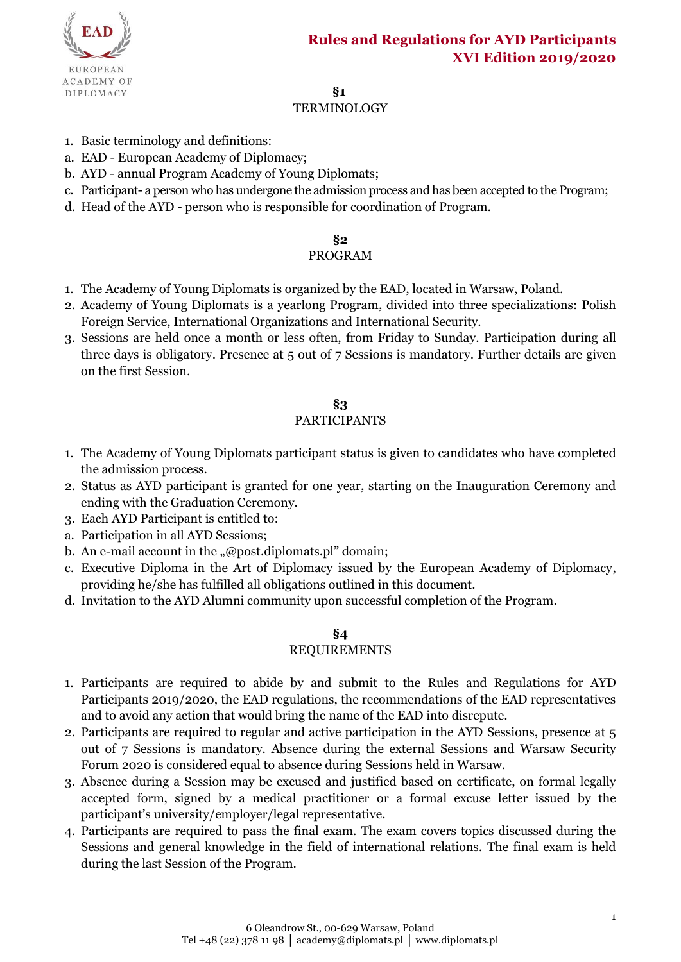

## **§1**

# **TERMINOLOGY**

- 1. Basic terminology and definitions:
- a. EAD European Academy of Diplomacy;
- b. AYD annual Program Academy of Young Diplomats;
- c. Participant- a person who has undergone the admission process and has been accepted to the Program;
- d. Head of the AYD person who is responsible for coordination of Program.

### **§2**

### PROGRAM

- 1. The Academy of Young Diplomats is organized by the EAD, located in Warsaw, Poland.
- 2. Academy of Young Diplomats is a yearlong Program, divided into three specializations: Polish Foreign Service, International Organizations and International Security.
- 3. Sessions are held once a month or less often, from Friday to Sunday. Participation during all three days is obligatory. Presence at 5 out of 7 Sessions is mandatory. Further details are given on the first Session.

## **§3**

### PARTICIPANTS

- 1. The Academy of Young Diplomats participant status is given to candidates who have completed the admission process.
- 2. Status as AYD participant is granted for one year, starting on the Inauguration Ceremony and ending with the Graduation Ceremony.
- 3. Each AYD Participant is entitled to:
- a. Participation in all AYD Sessions;
- b. An e-mail account in the "@post.diplomats.pl" domain;
- c. Executive Diploma in the Art of Diplomacy issued by the European Academy of Diplomacy, providing he/she has fulfilled all obligations outlined in this document.
- d. Invitation to the AYD Alumni community upon successful completion of the Program.

## **§4**

### REQUIREMENTS

- 1. Participants are required to abide by and submit to the Rules and Regulations for AYD Participants 2019/2020, the EAD regulations, the recommendations of the EAD representatives and to avoid any action that would bring the name of the EAD into disrepute.
- 2. Participants are required to regular and active participation in the AYD Sessions, presence at 5 out of 7 Sessions is mandatory. Absence during the external Sessions and Warsaw Security Forum 2020 is considered equal to absence during Sessions held in Warsaw.
- 3. Absence during a Session may be excused and justified based on certificate, on formal legally accepted form, signed by a medical practitioner or a formal excuse letter issued by the participant's university/employer/legal representative.
- 4. Participants are required to pass the final exam. The exam covers topics discussed during the Sessions and general knowledge in the field of international relations. The final exam is held during the last Session of the Program.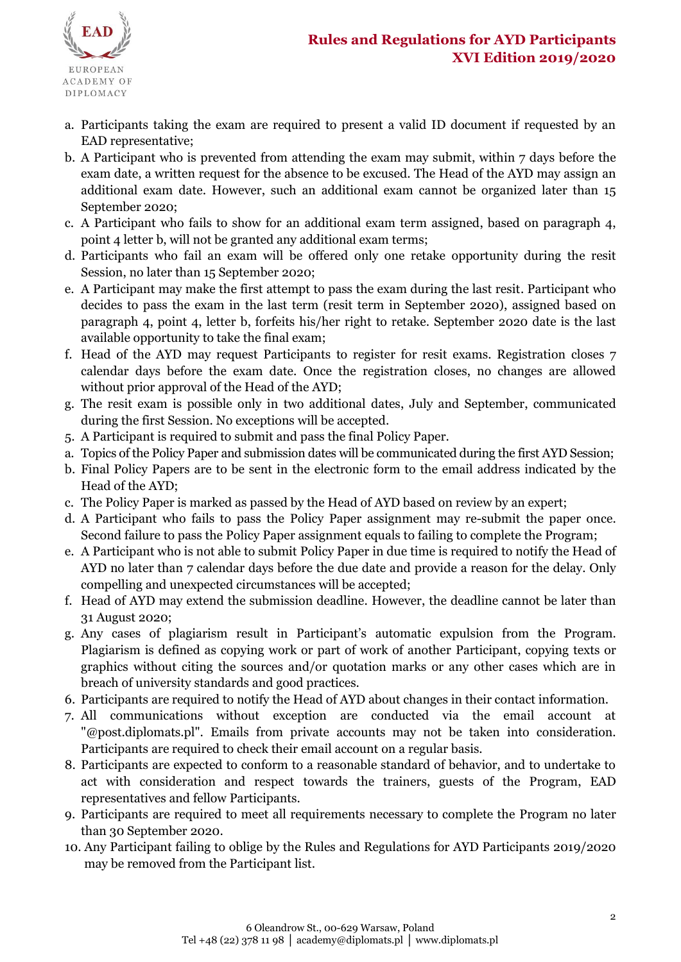

- a. Participants taking the exam are required to present a valid ID document if requested by an EAD representative;
- b. A Participant who is prevented from attending the exam may submit, within 7 days before the exam date, a written request for the absence to be excused. The Head of the AYD may assign an additional exam date. However, such an additional exam cannot be organized later than 15 September 2020;
- c. A Participant who fails to show for an additional exam term assigned, based on paragraph 4, point 4 letter b, will not be granted any additional exam terms;
- d. Participants who fail an exam will be offered only one retake opportunity during the resit Session, no later than 15 September 2020;
- e. A Participant may make the first attempt to pass the exam during the last resit. Participant who decides to pass the exam in the last term (resit term in September 2020), assigned based on paragraph 4, point 4, letter b, forfeits his/her right to retake. September 2020 date is the last available opportunity to take the final exam;
- f. Head of the AYD may request Participants to register for resit exams. Registration closes 7 calendar days before the exam date. Once the registration closes, no changes are allowed without prior approval of the Head of the AYD;
- g. The resit exam is possible only in two additional dates, July and September, communicated during the first Session. No exceptions will be accepted.
- 5. A Participant is required to submit and pass the final Policy Paper.
- a. Topics of the Policy Paper and submission dates will be communicated during the first AYD Session;
- b. Final Policy Papers are to be sent in the electronic form to the email address indicated by the Head of the AYD;
- c. The Policy Paper is marked as passed by the Head of AYD based on review by an expert;
- d. A Participant who fails to pass the Policy Paper assignment may re-submit the paper once. Second failure to pass the Policy Paper assignment equals to failing to complete the Program;
- e. A Participant who is not able to submit Policy Paper in due time is required to notify the Head of AYD no later than 7 calendar days before the due date and provide a reason for the delay. Only compelling and unexpected circumstances will be accepted;
- f. Head of AYD may extend the submission deadline. However, the deadline cannot be later than 31 August 2020;
- g. Any cases of plagiarism result in Participant's automatic expulsion from the Program. Plagiarism is defined as copying work or part of work of another Participant, copying texts or graphics without citing the sources and/or quotation marks or any other cases which are in breach of university standards and good practices.
- 6. Participants are required to notify the Head of AYD about changes in their contact information.
- 7. All communications without exception are conducted via the email account at "@post.diplomats.pl". Emails from private accounts may not be taken into consideration. Participants are required to check their email account on a regular basis.
- 8. Participants are expected to conform to a reasonable standard of behavior, and to undertake to act with consideration and respect towards the trainers, guests of the Program, EAD representatives and fellow Participants.
- 9. Participants are required to meet all requirements necessary to complete the Program no later than 30 September 2020.
- 10. Any Participant failing to oblige by the Rules and Regulations for AYD Participants 2019/2020 may be removed from the Participant list.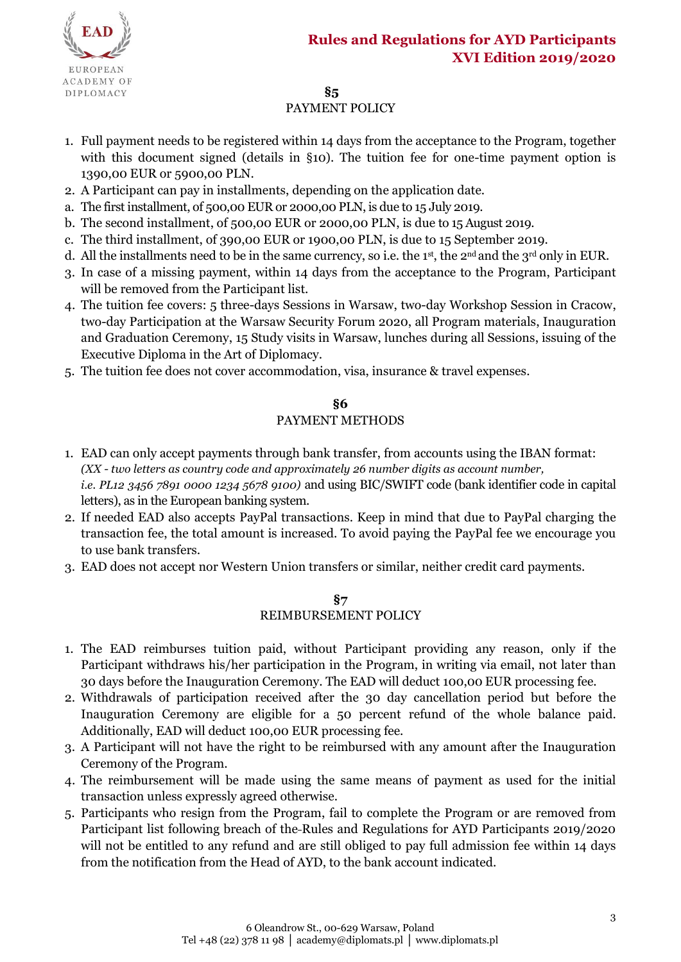

# **§5**

## PAYMENT POLICY

- 1. Full payment needs to be registered within 14 days from the acceptance to the Program, together with this document signed (details in §10). The tuition fee for one-time payment option is 1390,00 EUR or 5900,00 PLN.
- 2. A Participant can pay in installments, depending on the application date.
- a. The first installment, of 500,00 EUR or 2000,00 PLN, is due to 15 July 2019.
- b. The second installment, of 500,00 EUR or 2000,00 PLN, is due to 15 August 2019.
- c. The third installment, of 390,00 EUR or 1900,00 PLN, is due to 15 September 2019.
- d. All the installments need to be in the same currency, so i.e. the 1<sup>st</sup>, the 2<sup>nd</sup> and the 3<sup>rd</sup> only in EUR.
- 3. In case of a missing payment, within 14 days from the acceptance to the Program, Participant will be removed from the Participant list.
- 4. The tuition fee covers: 5 three-days Sessions in Warsaw, two-day Workshop Session in Cracow, two-day Participation at the Warsaw Security Forum 2020, all Program materials, Inauguration and Graduation Ceremony, 15 Study visits in Warsaw, lunches during all Sessions, issuing of the Executive Diploma in the Art of Diplomacy.
- 5. The tuition fee does not cover accommodation, visa, insurance & travel expenses.

### **§6**

### PAYMENT METHODS

- 1. EAD can only accept payments through bank transfer, from accounts using the IBAN format: *(XX - two letters as country code and approximately 26 number digits as account number, i.e. PL12 3456 7891 0000 1234 5678 9100)* and using BIC/SWIFT code (bank identifier code in capital letters), as in the European banking system.
- 2. If needed EAD also accepts PayPal transactions. Keep in mind that due to PayPal charging the transaction fee, the total amount is increased. To avoid paying the PayPal fee we encourage you to use bank transfers.
- 3. EAD does not accept nor Western Union transfers or similar, neither credit card payments.

### **§7** REIMBURSEMENT POLICY

- 1. The EAD reimburses tuition paid, without Participant providing any reason, only if the Participant withdraws his/her participation in the Program, in writing via email, not later than 30 days before the Inauguration Ceremony. The EAD will deduct 100,00 EUR processing fee.
- 2. Withdrawals of participation received after the 30 day cancellation period but before the Inauguration Ceremony are eligible for a 50 percent refund of the whole balance paid. Additionally, EAD will deduct 100,00 EUR processing fee.
- 3. A Participant will not have the right to be reimbursed with any amount after the Inauguration Ceremony of the Program.
- 4. The reimbursement will be made using the same means of payment as used for the initial transaction unless expressly agreed otherwise.
- 5. Participants who resign from the Program, fail to complete the Program or are removed from Participant list following breach of the Rules and Regulations for AYD Participants 2019/2020 will not be entitled to any refund and are still obliged to pay full admission fee within 14 days from the notification from the Head of AYD, to the bank account indicated.